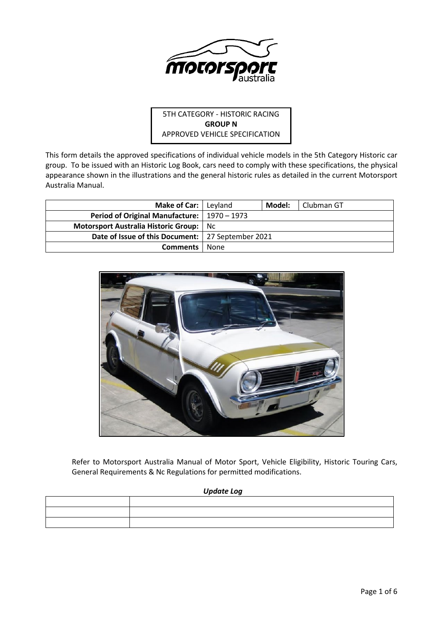

# 5TH CATEGORY - HISTORIC RACING **GROUP N** APPROVED VEHICLE SPECIFICATION

This form details the approved specifications of individual vehicle models in the 5th Category Historic car group. To be issued with an Historic Log Book, cars need to comply with these specifications, the physical appearance shown in the illustrations and the general historic rules as detailed in the current Motorsport Australia Manual.

| Make of Car:   Leyland                              |      | Model: | Clubman GT |
|-----------------------------------------------------|------|--------|------------|
| Period of Original Manufacture:   1970 – 1973       |      |        |            |
| Motorsport Australia Historic Group:                | Nc.  |        |            |
| Date of Issue of this Document:   27 September 2021 |      |        |            |
| Comments                                            | None |        |            |



Refer to Motorsport Australia Manual of Motor Sport, Vehicle Eligibility, Historic Touring Cars, General Requirements & Nc Regulations for permitted modifications.

## *Update Log*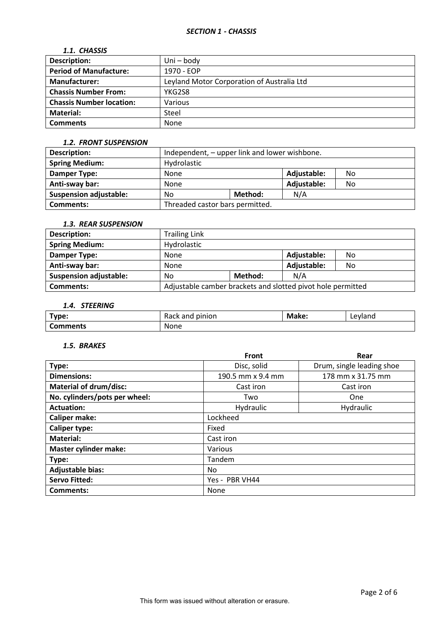## *1.1. CHASSIS*

| <b>Description:</b>             | Uni – body                                 |
|---------------------------------|--------------------------------------------|
| <b>Period of Manufacture:</b>   | 1970 - EOP                                 |
| Manufacturer:                   | Leyland Motor Corporation of Australia Ltd |
| <b>Chassis Number From:</b>     | YKG2S8                                     |
| <b>Chassis Number location:</b> | Various                                    |
| Material:                       | Steel                                      |
| <b>Comments</b>                 | None                                       |

#### *1.2. FRONT SUSPENSION*

| <b>Description:</b>           | Independent, – upper link and lower wishbone. |  |             |    |
|-------------------------------|-----------------------------------------------|--|-------------|----|
| <b>Spring Medium:</b>         | Hydrolastic                                   |  |             |    |
| Damper Type:                  | None                                          |  |             | No |
| Anti-sway bar:                | None                                          |  | Adjustable: | No |
| <b>Suspension adjustable:</b> | Method:<br>No                                 |  | N/A         |    |
| Comments:                     | Threaded castor bars permitted.               |  |             |    |

# *1.3. REAR SUSPENSION*

| Description:                  | <b>Trailing Link</b>                                        |         |             |    |
|-------------------------------|-------------------------------------------------------------|---------|-------------|----|
| <b>Spring Medium:</b>         | Hydrolastic                                                 |         |             |    |
| Damper Type:                  | None                                                        |         | Adjustable: | No |
| Anti-sway bar:                | None                                                        |         | Adjustable: | No |
| <b>Suspension adjustable:</b> | No                                                          | Method: | N/A         |    |
| <b>Comments:</b>              | Adjustable camber brackets and slotted pivot hole permitted |         |             |    |

# *1.4. STEERING*

| "vpe:    | تامو ۱۵<br>and<br>pinion<br>nacn | Make: | evland<br>-- |
|----------|----------------------------------|-------|--------------|
| Comments | None                             |       |              |

## *1.5. BRAKES*

|                               | Front             | Rear                      |  |  |
|-------------------------------|-------------------|---------------------------|--|--|
| Type:                         | Disc, solid       | Drum, single leading shoe |  |  |
| <b>Dimensions:</b>            | 190.5 mm x 9.4 mm | 178 mm x 31.75 mm         |  |  |
| <b>Material of drum/disc:</b> | Cast iron         | Cast iron                 |  |  |
| No. cylinders/pots per wheel: | Two               | One                       |  |  |
| <b>Actuation:</b>             | Hydraulic         | Hydraulic                 |  |  |
| <b>Caliper make:</b>          | Lockheed          |                           |  |  |
| <b>Caliper type:</b>          | Fixed             |                           |  |  |
| <b>Material:</b>              | Cast iron         |                           |  |  |
| <b>Master cylinder make:</b>  | Various           |                           |  |  |
| Type:                         | Tandem            |                           |  |  |
| <b>Adjustable bias:</b>       | No.               |                           |  |  |
| <b>Servo Fitted:</b>          | Yes - PBR VH44    |                           |  |  |
| Comments:                     | None              |                           |  |  |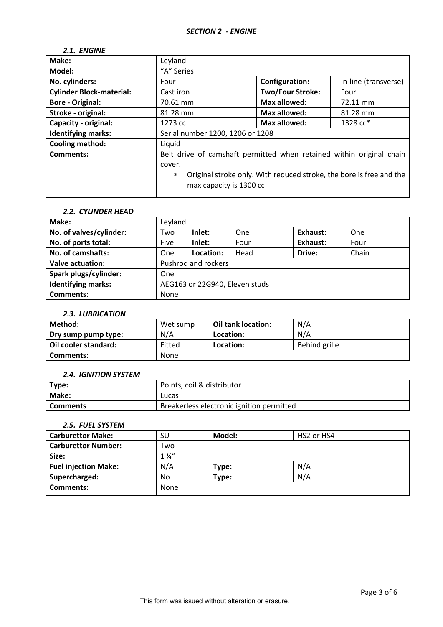## *2.1. ENGINE*

| Make:                           | Leyland                                                                                                          |                         |                                                                     |  |
|---------------------------------|------------------------------------------------------------------------------------------------------------------|-------------------------|---------------------------------------------------------------------|--|
| Model:                          | "A" Series                                                                                                       |                         |                                                                     |  |
| No. cylinders:                  | Four                                                                                                             | <b>Configuration:</b>   | In-line (transverse)                                                |  |
| <b>Cylinder Block-material:</b> | Cast iron                                                                                                        | <b>Two/Four Stroke:</b> | Four                                                                |  |
| <b>Bore - Original:</b>         | 70.61 mm                                                                                                         | <b>Max allowed:</b>     | 72.11 mm                                                            |  |
| Stroke - original:              | 81.28 mm                                                                                                         | <b>Max allowed:</b>     | 81.28 mm                                                            |  |
| <b>Capacity - original:</b>     | <b>Max allowed:</b><br>1328 cc*<br>1273 cc                                                                       |                         |                                                                     |  |
| <b>Identifying marks:</b>       | Serial number 1200, 1206 or 1208                                                                                 |                         |                                                                     |  |
| Cooling method:                 | Liquid                                                                                                           |                         |                                                                     |  |
| <b>Comments:</b>                | Belt drive of camshaft permitted when retained within original chain<br>cover.<br>$*$<br>max capacity is 1300 cc |                         | Original stroke only. With reduced stroke, the bore is free and the |  |

### *2.2. CYLINDER HEAD*

| Make:                     | Leyland                        |           |      |          |       |
|---------------------------|--------------------------------|-----------|------|----------|-------|
| No. of valves/cylinder:   | Two                            | Inlet:    | One  | Exhaust: | One   |
| No. of ports total:       | Five                           | Inlet:    | Four | Exhaust: | Four  |
| No. of camshafts:         | One                            | Location: | Head | Drive:   | Chain |
| <b>Valve actuation:</b>   | Pushrod and rockers            |           |      |          |       |
| Spark plugs/cylinder:     | One                            |           |      |          |       |
| <b>Identifying marks:</b> | AEG163 or 22G940, Eleven studs |           |      |          |       |
| <b>Comments:</b>          | None                           |           |      |          |       |

## *2.3. LUBRICATION*

| Method:              | Wet sump | Oil tank location: | N/A           |
|----------------------|----------|--------------------|---------------|
| Dry sump pump type:  | N/A      | Location:          | N/A           |
| Oil cooler standard: | Fitted   | Location:          | Behind grille |
| Comments:            | None     |                    |               |

## *2.4. IGNITION SYSTEM*

| Type:    | Points, coil & distributor                |
|----------|-------------------------------------------|
| Make:    | Lucas                                     |
| Comments | Breakerless electronic ignition permitted |

#### *2.5. FUEL SYSTEM*

| <b>Carburettor Make:</b>    | SU             | Model: | HS2 or HS4 |
|-----------------------------|----------------|--------|------------|
| <b>Carburettor Number:</b>  | Two            |        |            |
| Size:                       | $1\frac{1}{4}$ |        |            |
| <b>Fuel injection Make:</b> | N/A            | Type:  | N/A        |
| Supercharged:               | No             | Type:  | N/A        |
| <b>Comments:</b>            | None           |        |            |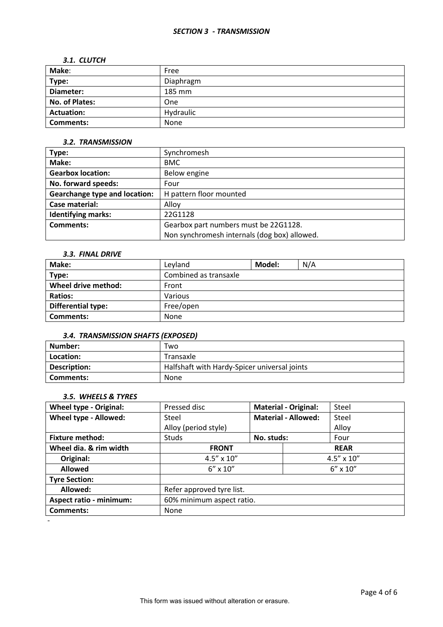### *SECTION 3 - TRANSMISSION*

#### *3.1. CLUTCH*

| Make:             | Free      |
|-------------------|-----------|
| Type:             | Diaphragm |
| Diameter:         | 185 mm    |
| No. of Plates:    | One       |
| <b>Actuation:</b> | Hydraulic |
| <b>Comments:</b>  | None      |

## *3.2. TRANSMISSION*

| Type:                                | Synchromesh                                  |
|--------------------------------------|----------------------------------------------|
| Make:                                | <b>BMC</b>                                   |
| <b>Gearbox location:</b>             | Below engine                                 |
| No. forward speeds:                  | Four                                         |
| <b>Gearchange type and location:</b> | H pattern floor mounted                      |
| Case material:                       | Alloy                                        |
| <b>Identifying marks:</b>            | 22G1128                                      |
| Comments:                            | Gearbox part numbers must be 22G1128.        |
|                                      | Non synchromesh internals (dog box) allowed. |

## *3.3. FINAL DRIVE*

| Make:               | Levland               | Model: | N/A |
|---------------------|-----------------------|--------|-----|
| Type:               | Combined as transaxle |        |     |
| Wheel drive method: | Front                 |        |     |
| <b>Ratios:</b>      | Various               |        |     |
| Differential type:  | Free/open             |        |     |
| <b>Comments:</b>    | <b>None</b>           |        |     |

## *3.4. TRANSMISSION SHAFTS (EXPOSED)*

| Number:      | Two                                          |
|--------------|----------------------------------------------|
| Location:    | Transaxle                                    |
| Description: | Halfshaft with Hardy-Spicer universal joints |
| Comments:    | <b>None</b>                                  |

# *3.5. WHEELS & TYRES*

| <b>Wheel type - Original:</b>  | Pressed disc              | <b>Material - Original:</b> |                            | Steel               |
|--------------------------------|---------------------------|-----------------------------|----------------------------|---------------------|
| Wheel type - Allowed:          | Steel                     |                             | <b>Material - Allowed:</b> | Steel               |
|                                | Alloy (period style)      |                             |                            | Alloy               |
| <b>Fixture method:</b>         | <b>Studs</b>              | No. studs:                  |                            | Four                |
| Wheel dia. & rim width         | <b>FRONT</b>              |                             |                            | <b>REAR</b>         |
| Original:                      | $4.5'' \times 10''$       |                             |                            | $4.5'' \times 10''$ |
| <b>Allowed</b>                 | $6'' \times 10''$         |                             |                            | $6'' \times 10''$   |
| <b>Tyre Section:</b>           |                           |                             |                            |                     |
| Allowed:                       | Refer approved tyre list. |                             |                            |                     |
| <b>Aspect ratio - minimum:</b> | 60% minimum aspect ratio. |                             |                            |                     |
| <b>Comments:</b>               | None                      |                             |                            |                     |

-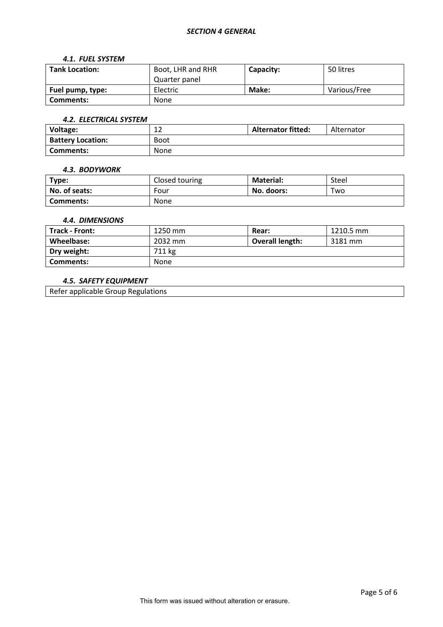## *SECTION 4 GENERAL*

#### *4.1. FUEL SYSTEM*

| <b>Tank Location:</b> | Boot, LHR and RHR | Capacity: | 50 litres    |
|-----------------------|-------------------|-----------|--------------|
|                       | Quarter panel     |           |              |
| Fuel pump, type:      | Electric          | Make:     | Various/Free |
| Comments:             | None              |           |              |

## *4.2. ELECTRICAL SYSTEM*

| <b>Voltage:</b>          | $\sim$<br>ᅩᄼ | <b>Alternator fitted:</b> | Alternator |
|--------------------------|--------------|---------------------------|------------|
| <b>Battery Location:</b> | <b>Boot</b>  |                           |            |
| Comments:                | None         |                           |            |

### *4.3. BODYWORK*

| Type:            | Closed touring | <b>Material:</b> | Steel |
|------------------|----------------|------------------|-------|
| No. of seats:    | Four           | No. doors:       | Two   |
| <b>Comments:</b> | None           |                  |       |

## *4.4. DIMENSIONS*

| Track - Front: | 1250 mm     | Rear:                  | 1210.5 mm |
|----------------|-------------|------------------------|-----------|
| Wheelbase:     | 2032 mm     | <b>Overall length:</b> | 3181 mm   |
| Dry weight:    | 711 kg      |                        |           |
| Comments:      | <b>None</b> |                        |           |

## *4.5. SAFETY EQUIPMENT*

Refer applicable Group Regulations